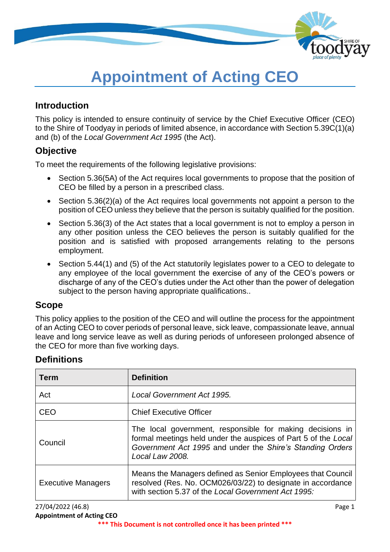

# **Appointment of Acting CEO**

### **Introduction**

This policy is intended to ensure continuity of service by the Chief Executive Officer (CEO) to the Shire of Toodyay in periods of limited absence, in accordance with Section 5.39C(1)(a) and (b) of the *Local Government Act 1995* (the Act).

### **Objective**

To meet the requirements of the following legislative provisions:

- Section 5.36(5A) of the Act requires local governments to propose that the position of CEO be filled by a person in a prescribed class.
- Section 5.36(2)(a) of the Act requires local governments not appoint a person to the position of CEO unless they believe that the person is suitably qualified for the position.
- Section 5.36(3) of the Act states that a local government is not to employ a person in any other position unless the CEO believes the person is suitably qualified for the position and is satisfied with proposed arrangements relating to the persons employment.
- Section 5.44(1) and (5) of the Act statutorily legislates power to a CEO to delegate to any employee of the local government the exercise of any of the CEO's powers or discharge of any of the CEO's duties under the Act other than the power of delegation subject to the person having appropriate qualifications..

#### **Scope**

This policy applies to the position of the CEO and will outline the process for the appointment of an Acting CEO to cover periods of personal leave, sick leave, compassionate leave, annual leave and long service leave as well as during periods of unforeseen prolonged absence of the CEO for more than five working days.

# **Definitions**

| <b>Term</b>               | <b>Definition</b>                                                                                                                                                                                           |  |
|---------------------------|-------------------------------------------------------------------------------------------------------------------------------------------------------------------------------------------------------------|--|
| Act                       | Local Government Act 1995.                                                                                                                                                                                  |  |
| CEO                       | <b>Chief Executive Officer</b>                                                                                                                                                                              |  |
| Council                   | The local government, responsible for making decisions in<br>formal meetings held under the auspices of Part 5 of the Local<br>Government Act 1995 and under the Shire's Standing Orders<br>Local Law 2008. |  |
| <b>Executive Managers</b> | Means the Managers defined as Senior Employees that Council<br>resolved (Res. No. OCM026/03/22) to designate in accordance<br>with section 5.37 of the Local Government Act 1995:                           |  |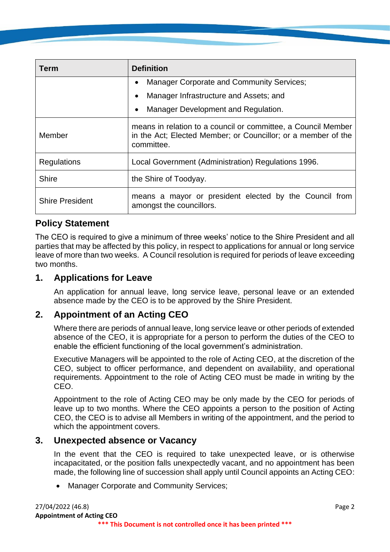| Term                   | <b>Definition</b>                                                                                                                            |  |  |
|------------------------|----------------------------------------------------------------------------------------------------------------------------------------------|--|--|
|                        | <b>Manager Corporate and Community Services;</b><br>$\bullet$                                                                                |  |  |
|                        | Manager Infrastructure and Assets; and<br>$\bullet$                                                                                          |  |  |
|                        | Manager Development and Regulation.<br>٠                                                                                                     |  |  |
| Member                 | means in relation to a council or committee, a Council Member<br>in the Act; Elected Member; or Councillor; or a member of the<br>committee. |  |  |
| <b>Regulations</b>     | Local Government (Administration) Regulations 1996.                                                                                          |  |  |
| <b>Shire</b>           | the Shire of Toodyay.                                                                                                                        |  |  |
| <b>Shire President</b> | means a mayor or president elected by the Council from<br>amongst the councillors.                                                           |  |  |

### **Policy Statement**

The CEO is required to give a minimum of three weeks' notice to the Shire President and all parties that may be affected by this policy, in respect to applications for annual or long service leave of more than two weeks. A Council resolution is required for periods of leave exceeding two months.

#### **1. Applications for Leave**

An application for annual leave, long service leave, personal leave or an extended absence made by the CEO is to be approved by the Shire President.

# **2. Appointment of an Acting CEO**

Where there are periods of annual leave, long service leave or other periods of extended absence of the CEO, it is appropriate for a person to perform the duties of the CEO to enable the efficient functioning of the local government's administration.

Executive Managers will be appointed to the role of Acting CEO, at the discretion of the CEO, subject to officer performance, and dependent on availability, and operational requirements. Appointment to the role of Acting CEO must be made in writing by the CEO.

Appointment to the role of Acting CEO may be only made by the CEO for periods of leave up to two months. Where the CEO appoints a person to the position of Acting CEO, the CEO is to advise all Members in writing of the appointment, and the period to which the appointment covers.

#### **3. Unexpected absence or Vacancy**

In the event that the CEO is required to take unexpected leave, or is otherwise incapacitated, or the position falls unexpectedly vacant, and no appointment has been made, the following line of succession shall apply until Council appoints an Acting CEO:

• Manager Corporate and Community Services;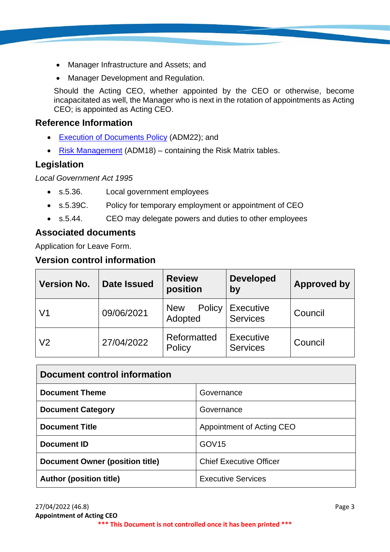- Manager Infrastructure and Assets; and
- Manager Development and Regulation.

Should the Acting CEO, whether appointed by the CEO or otherwise, become incapacitated as well, the Manager who is next in the rotation of appointments as Acting CEO; is appointed as Acting CEO.

## **Reference Information**

- [Execution of Documents](https://www.toodyay.wa.gov.au/documents/314/execution-of-documents) Policy (ADM22); and
- [Risk Management](https://www.toodyay.wa.gov.au/documents/110/risk-management) (ADM18) containing the Risk Matrix tables.

# **Legislation**

*Local Government Act 1995*

- s.5.36. Local government employees
- s.5.39C. Policy for temporary employment or appointment of CEO
- s.5.44. CEO may delegate powers and duties to other employees

# **Associated documents**

Application for Leave Form.

# **Version control information**

| <b>Version No.</b> | <b>Date Issued</b> | <b>Review</b><br>position       | <b>Developed</b><br>by              | <b>Approved by</b> |
|--------------------|--------------------|---------------------------------|-------------------------------------|--------------------|
| V1                 | 09/06/2021         | Policy<br><b>New</b><br>Adopted | <b>Executive</b><br><b>Services</b> | Council            |
| V <sub>2</sub>     | 27/04/2022         | Reformatted<br>Policy           | <b>Executive</b><br><b>Services</b> | Council            |

| Document control information           |                                |  |  |  |
|----------------------------------------|--------------------------------|--|--|--|
| <b>Document Theme</b>                  | Governance                     |  |  |  |
| <b>Document Category</b>               | Governance                     |  |  |  |
| <b>Document Title</b>                  | Appointment of Acting CEO      |  |  |  |
| <b>Document ID</b>                     | GOV <sub>15</sub>              |  |  |  |
| <b>Document Owner (position title)</b> | <b>Chief Executive Officer</b> |  |  |  |
| <b>Author (position title)</b>         | <b>Executive Services</b>      |  |  |  |